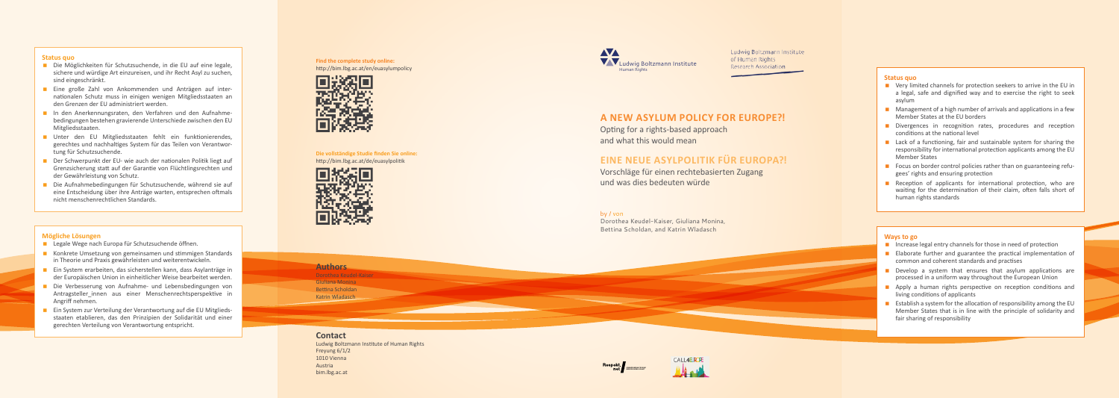**Find the complete study online:** http://bim.lbg.ac.at/en/euasylumpolicy



**Die vollständige Studie finden Sie online:** http://bim.lbg.ac.at/de/euasylpolitik



# **Status quo**

- $\blacksquare$  Very limited channels for protection seekers to arrive in the EU in a legal, safe and dignified way and to exercise the right to seek asylum
- $\blacksquare$  Management of a high number of arrivals and applications in a few Member States at the EU borders
- Divergences in recognition rates, procedures and reception conditions at the national level
- **Lack of a functioning, fair and sustainable system for sharing the** responsibility for international protection applicants among the EU Member States
- Focus on border control policies rather than on guaranteeing refugees' rights and ensuring protection
- Reception of applicants for international protection, who are waiting for the determination of their claim, often falls short of human rights standards

- $\blacksquare$  Increase legal entry channels for those in need of protection
- **Elaborate further and guarantee the practical implementation of** common and coherent standards and practises
- Develop a system that ensures that asylum applications are processed in a uniform way throughout the European Union
- **Apply a human rights perspective on reception conditions and** living conditions of applicants
- **Establish a system for the allocation of responsibility among the EU** Member States that is in line with the principle of solidarity and fair sharing of responsibility

# **Ways to go**

- Die Möglichkeiten für Schutzsuchende, in die EU auf eine legale, sichere und würdige Art einzureisen, und ihr Recht Asyl zu suchen, sind eingeschränkt.
- **Eine große Zahl von Ankommenden und Anträgen auf inter**nationalen Schutz muss in einigen wenigen Mitgliedsstaaten an den Grenzen der EU administriert werden.
- In den Anerkennungsraten, den Verfahren und den Aufnahmebedingungen bestehen gravierende Unterschiede zwischen den EU Mitgliedsstaaten.
- Unter den EU Mitgliedsstaaten fehlt ein funktionierendes, gerechtes und nachhaltiges System für das Teilen von Verantwor tung für Schutzsuchende.
- Der Schwerpunkt der EU- wie auch der nationalen Politik liegt auf Grenzsicherung statt auf der Garantie von Flüchtlingsrechten und der Gewährleistung von Schutz.
- Die Aufnahmebedingungen für Schutzsuchende, während sie auf eine Entscheidung über ihre Anträge warten, entsprechen oftmals nicht menschenrechtlichen Standards.

# **Status quo**

- Legale Wege nach Europa für Schutzsuchende öffnen.
- Konkrete Umsetzung von gemeinsamen und stimmigen Standards in Theorie und Praxis gewährleisten und weiterentwickeln.
- **Ein System erarbeiten, das sicherstellen kann, dass Asylanträge in** der Europäischen Union in einheitlicher Weise bearbeitet werden.
- Die Verbesserung von Aufnahme- und Lebensbedingungen von Antragsteller innen aus einer Menschenrechtsperspektive in Angriff nehmen.
- Ein System zur Verteilung der Verantwortung auf die EU Mitgliedsstaaten etablieren, das den Prinzipien der Solidarität und einer gerechten Verteilung von Verantwortung entspricht.

# **Mögliche Lösungen**







Ludwig Boltzmann Institute of Human Rights Research Association

Vorschläge für einen rechtebasierten Zugang und was dies bedeuten würde

# **A new as y l u m po licy for Europ e?!**

Opting for a rights -based approach and what this would mean

# **EINE NEUE ASYLPOLITIK FÜR EUROPA?!**

# by / von

Dorothea Keudel -Kaiser, Giuliana Monina, Bettina Scholdan, and Katrin Wladasch

# **Authors**

Dorothea Keudel -Kaiser Giuliana Monina Bettina Scholdan Katrin Wladasch

# **Contact**

Ludwig Boltzmann Institute of Human Rights Freyung 6/1/2 1010 Vienna Austria bim.lbg.ac.at